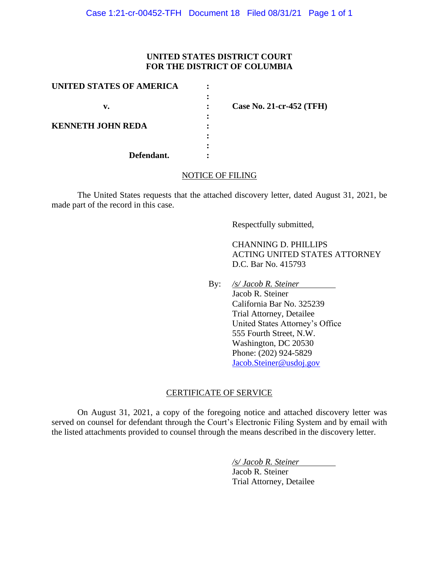## **UNITED STATES DISTRICT COURT FOR THE DISTRICT OF COLUMBIA**

| UNITED STATES OF AMERICA |                          |
|--------------------------|--------------------------|
|                          |                          |
| v.                       | Case No. 21-cr-452 (TFH) |
|                          |                          |
| <b>KENNETH JOHN REDA</b> |                          |
|                          |                          |
|                          |                          |
| Defendant.               |                          |

### NOTICE OF FILING

The United States requests that the attached discovery letter, dated August 31, 2021, be made part of the record in this case.

Respectfully submitted,

 CHANNING D. PHILLIPS ACTING UNITED STATES ATTORNEY D.C. Bar No. 415793

By: */s/ Jacob R. Steiner*

 Jacob R. Steiner California Bar No. 325239 Trial Attorney, Detailee United States Attorney's Office 555 Fourth Street, N.W. Washington, DC 20530 Phone: (202) 924-5829 Jacob.Steiner@usdoj.gov

### CERTIFICATE OF SERVICE

On August 31, 2021, a copy of the foregoing notice and attached discovery letter was served on counsel for defendant through the Court's Electronic Filing System and by email with the listed attachments provided to counsel through the means described in the discovery letter.

*/s/ Jacob R. Steiner*

Jacob R. Steiner Trial Attorney, Detailee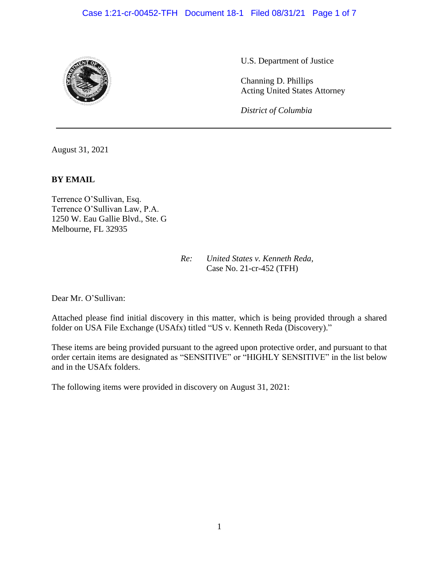# Case 1:21-cr-00452-TFH Document 18-1 Filed 08/31/21 Page 1 of 7



U.S. Department of Justice

Channing D. Phillips Acting United States Attorney

*District of Columbia*

August 31, 2021

#### **BY EMAIL**

Terrence O'Sullivan, Esq. Terrence O'Sullivan Law, P.A. 1250 W. Eau Gallie Blvd., Ste. G Melbourne, FL 32935

> *Re: United States v. Kenneth Reda*, Case No. 21-cr-452 (TFH)

Dear Mr. O'Sullivan:

Attached please find initial discovery in this matter, which is being provided through a shared folder on USA File Exchange (USAfx) titled "US v. Kenneth Reda (Discovery)."

These items are being provided pursuant to the agreed upon protective order, and pursuant to that order certain items are designated as "SENSITIVE" or "HIGHLY SENSITIVE" in the list below and in the USAfx folders.

The following items were provided in discovery on August 31, 2021: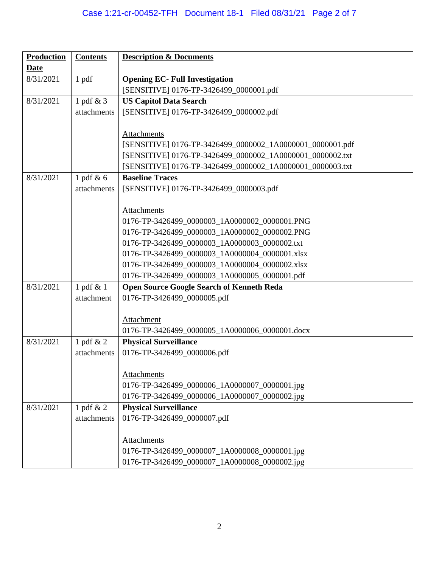# Case 1:21-cr-00452-TFH Document 18-1 Filed 08/31/21 Page 2 of 7

| <b>Production</b> | <b>Contents</b>          | <b>Description &amp; Documents</b>                          |
|-------------------|--------------------------|-------------------------------------------------------------|
| Date              |                          |                                                             |
| 8/31/2021         | 1 pdf                    | <b>Opening EC- Full Investigation</b>                       |
|                   |                          | [SENSITIVE] 0176-TP-3426499_0000001.pdf                     |
| 8/31/2021         | 1 pdf & 3                | <b>US Capitol Data Search</b>                               |
|                   | attachments              | [SENSITIVE] 0176-TP-3426499_0000002.pdf                     |
|                   |                          |                                                             |
|                   |                          | Attachments                                                 |
|                   |                          | [SENSITIVE] 0176-TP-3426499_0000002_1A0000001_0000001.pdf   |
|                   |                          | [SENSITIVE] 0176-TP-3426499_0000002_1A0000001_0000002.txt   |
|                   |                          | [SENSITIVE] 0176-TP-3426499_0000002_1A0000001_0000003.txt   |
| 8/31/2021         | 1 pdf $\& 6$             | <b>Baseline Traces</b>                                      |
|                   | attachments              | [SENSITIVE] 0176-TP-3426499_0000003.pdf                     |
|                   |                          |                                                             |
|                   |                          | Attachments                                                 |
|                   |                          | 0176-TP-3426499_0000003_1A0000002_0000001.PNG               |
|                   |                          | 0176-TP-3426499 0000003 1A0000002 0000002.PNG               |
|                   |                          | 0176-TP-3426499_0000003_1A0000003_0000002.txt               |
|                   |                          | 0176-TP-3426499_0000003_1A0000004_0000001.xlsx              |
|                   |                          | 0176-TP-3426499_0000003_1A0000004_0000002.xlsx              |
|                   |                          | 0176-TP-3426499_0000003_1A0000005_0000001.pdf               |
| 8/31/2021         | 1 pdf & 1                | <b>Open Source Google Search of Kenneth Reda</b>            |
|                   | attachment               | 0176-TP-3426499_0000005.pdf                                 |
|                   |                          |                                                             |
|                   |                          | Attachment                                                  |
| 8/31/2021         |                          | 0176-TP-3426499_0000005_1A0000006_0000001.docx              |
|                   | 1 pdf & 2<br>attachments | <b>Physical Surveillance</b><br>0176-TP-3426499_0000006.pdf |
|                   |                          |                                                             |
|                   |                          | Attachments                                                 |
|                   |                          | 0176-TP-3426499_0000006_1A0000007_0000001.jpg               |
|                   |                          | 0176-TP-3426499_0000006_1A0000007_0000002.jpg               |
| 8/31/2021         | 1 pdf $& 2$              | <b>Physical Surveillance</b>                                |
|                   | attachments              | 0176-TP-3426499_0000007.pdf                                 |
|                   |                          |                                                             |
|                   |                          | Attachments                                                 |
|                   |                          | 0176-TP-3426499_0000007_1A0000008_0000001.jpg               |
|                   |                          | 0176-TP-3426499_0000007_1A0000008_0000002.jpg               |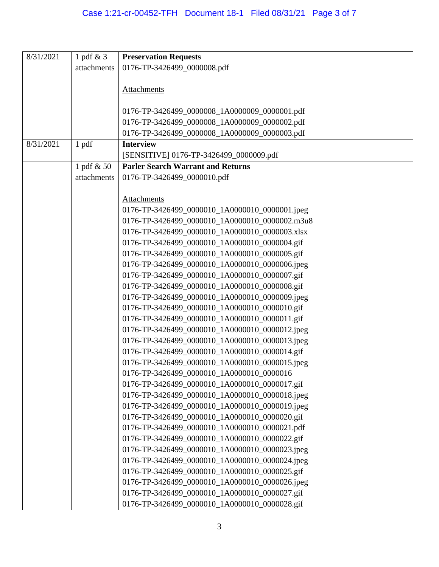| 8/31/2021 | 1 pdf $& 3$ | <b>Preservation Requests</b>                   |
|-----------|-------------|------------------------------------------------|
|           | attachments | 0176-TP-3426499_0000008.pdf                    |
|           |             |                                                |
|           |             | <b>Attachments</b>                             |
|           |             |                                                |
|           |             | 0176-TP-3426499_0000008_1A0000009_0000001.pdf  |
|           |             | 0176-TP-3426499_0000008_1A0000009_0000002.pdf  |
|           |             | 0176-TP-3426499_0000008_1A0000009_0000003.pdf  |
| 8/31/2021 | 1 pdf       | <b>Interview</b>                               |
|           |             | [SENSITIVE] 0176-TP-3426499_0000009.pdf        |
|           | 1 pdf & 50  | <b>Parler Search Warrant and Returns</b>       |
|           | attachments | 0176-TP-3426499_0000010.pdf                    |
|           |             |                                                |
|           |             | <b>Attachments</b>                             |
|           |             | 0176-TP-3426499_0000010_1A0000010_0000001.jpeg |
|           |             | 0176-TP-3426499_0000010_1A0000010_0000002.m3u8 |
|           |             | 0176-TP-3426499_0000010_1A0000010_0000003.xlsx |
|           |             | 0176-TP-3426499_0000010_1A0000010_0000004.gif  |
|           |             | 0176-TP-3426499_0000010_1A0000010_0000005.gif  |
|           |             | 0176-TP-3426499_0000010_1A0000010_0000006.jpeg |
|           |             | 0176-TP-3426499_0000010_1A0000010_0000007.gif  |
|           |             | 0176-TP-3426499_0000010_1A0000010_0000008.gif  |
|           |             | 0176-TP-3426499_0000010_1A0000010_0000009.jpeg |
|           |             | 0176-TP-3426499_0000010_1A0000010_0000010.gif  |
|           |             | 0176-TP-3426499_0000010_1A0000010_0000011.gif  |
|           |             | 0176-TP-3426499_0000010_1A0000010_0000012.jpeg |
|           |             | 0176-TP-3426499_0000010_1A0000010_0000013.jpeg |
|           |             | 0176-TP-3426499_0000010_1A0000010_0000014.gif  |
|           |             | 0176-TP-3426499_0000010_1A0000010_0000015.jpeg |
|           |             | 0176-TP-3426499_0000010_1A0000010_0000016      |
|           |             | 0176-TP-3426499_0000010_1A0000010_0000017.gif  |
|           |             | 0176-TP-3426499_0000010_1A0000010_0000018.jpeg |
|           |             | 0176-TP-3426499_0000010_1A0000010_0000019.jpeg |
|           |             | 0176-TP-3426499_0000010_1A0000010_0000020.gif  |
|           |             | 0176-TP-3426499_0000010_1A0000010_0000021.pdf  |
|           |             | 0176-TP-3426499_0000010_1A0000010_0000022.gif  |
|           |             | 0176-TP-3426499_0000010_1A0000010_0000023.jpeg |
|           |             | 0176-TP-3426499_0000010_1A0000010_0000024.jpeg |
|           |             | 0176-TP-3426499_0000010_1A0000010_0000025.gif  |
|           |             | 0176-TP-3426499_0000010_1A0000010_0000026.jpeg |
|           |             | 0176-TP-3426499_0000010_1A0000010_0000027.gif  |
|           |             | 0176-TP-3426499_0000010_1A0000010_0000028.gif  |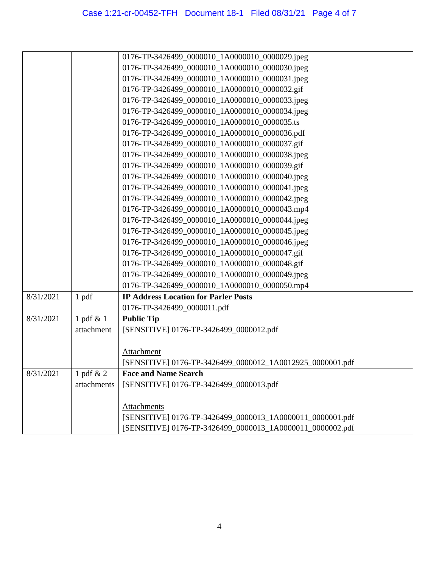|           |             | 0176-TP-3426499_0000010_1A0000010_0000029.jpeg            |
|-----------|-------------|-----------------------------------------------------------|
|           |             | 0176-TP-3426499_0000010_1A0000010_0000030.jpeg            |
|           |             | 0176-TP-3426499_0000010_1A0000010_0000031.jpeg            |
|           |             | 0176-TP-3426499_0000010_1A0000010_0000032.gif             |
|           |             | 0176-TP-3426499_0000010_1A0000010_0000033.jpeg            |
|           |             | 0176-TP-3426499_0000010_1A0000010_0000034.jpeg            |
|           |             | 0176-TP-3426499_0000010_1A0000010_0000035.ts              |
|           |             | 0176-TP-3426499_0000010_1A0000010_0000036.pdf             |
|           |             | 0176-TP-3426499_0000010_1A0000010_0000037.gif             |
|           |             | 0176-TP-3426499_0000010_1A0000010_0000038.jpeg            |
|           |             | 0176-TP-3426499_0000010_1A0000010_0000039.gif             |
|           |             | 0176-TP-3426499_0000010_1A0000010_0000040.jpeg            |
|           |             | 0176-TP-3426499_0000010_1A0000010_0000041.jpeg            |
|           |             | 0176-TP-3426499_0000010_1A0000010_0000042.jpeg            |
|           |             | 0176-TP-3426499_0000010_1A0000010_0000043.mp4             |
|           |             | 0176-TP-3426499_0000010_1A0000010_0000044.jpeg            |
|           |             | 0176-TP-3426499_0000010_1A0000010_0000045.jpeg            |
|           |             | 0176-TP-3426499_0000010_1A0000010_0000046.jpeg            |
|           |             | 0176-TP-3426499_0000010_1A0000010_0000047.gif             |
|           |             | 0176-TP-3426499_0000010_1A0000010_0000048.gif             |
|           |             | 0176-TP-3426499_0000010_1A0000010_0000049.jpeg            |
|           |             | 0176-TP-3426499_0000010_1A0000010_0000050.mp4             |
| 8/31/2021 | 1 pdf       | <b>IP Address Location for Parler Posts</b>               |
|           |             | 0176-TP-3426499_0000011.pdf                               |
| 8/31/2021 | 1 pdf & 1   | <b>Public Tip</b>                                         |
|           | attachment  | [SENSITIVE] 0176-TP-3426499_0000012.pdf                   |
|           |             |                                                           |
|           |             | Attachment                                                |
|           |             | [SENSITIVE] 0176-TP-3426499_0000012_1A0012925_0000001.pdf |
| 8/31/2021 | 1 pdf $& 2$ | <b>Face and Name Search</b>                               |
|           | attachments | [SENSITIVE] 0176-TP-3426499_0000013.pdf                   |
|           |             |                                                           |
|           |             | Attachments                                               |
|           |             | [SENSITIVE] 0176-TP-3426499_0000013_1A0000011_0000001.pdf |
|           |             | [SENSITIVE] 0176-TP-3426499_0000013_1A0000011_0000002.pdf |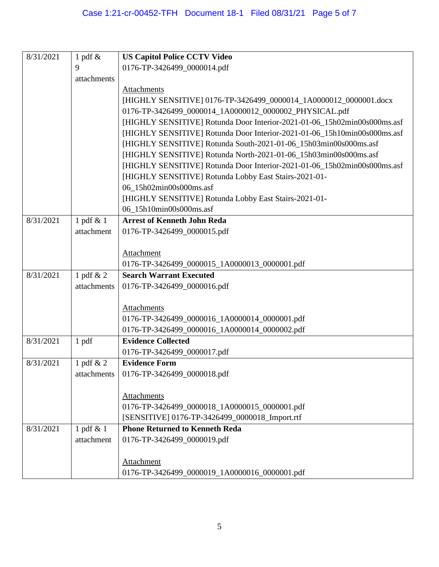| 8/31/2021 | 1 pdf $\&$   | <b>US Capitol Police CCTV Video</b>                                      |
|-----------|--------------|--------------------------------------------------------------------------|
|           | 9            | 0176-TP-3426499_0000014.pdf                                              |
|           | attachments  |                                                                          |
|           |              | Attachments                                                              |
|           |              | [HIGHLY SENSITIVE] 0176-TP-3426499_0000014_1A0000012_0000001.docx        |
|           |              | 0176-TP-3426499_0000014_1A0000012_0000002_PHYSICAL.pdf                   |
|           |              | [HIGHLY SENSITIVE] Rotunda Door Interior-2021-01-06_15h02min00s000ms.asf |
|           |              | [HIGHLY SENSITIVE] Rotunda Door Interior-2021-01-06_15h10min00s000ms.asf |
|           |              | [HIGHLY SENSITIVE] Rotunda South-2021-01-06_15h03min00s000ms.asf         |
|           |              | [HIGHLY SENSITIVE] Rotunda North-2021-01-06_15h03min00s000ms.asf         |
|           |              | [HIGHLY SENSITIVE] Rotunda Door Interior-2021-01-06_15h02min00s000ms.asf |
|           |              | [HIGHLY SENSITIVE] Rotunda Lobby East Stairs-2021-01-                    |
|           |              | 06_15h02min00s000ms.asf                                                  |
|           |              | [HIGHLY SENSITIVE] Rotunda Lobby East Stairs-2021-01-                    |
|           |              | 06_15h10min00s000ms.asf                                                  |
| 8/31/2021 | 1 pdf $& 1$  | <b>Arrest of Kenneth John Reda</b>                                       |
|           | attachment   | 0176-TP-3426499_0000015.pdf                                              |
|           |              |                                                                          |
|           |              | Attachment                                                               |
|           |              | 0176-TP-3426499_0000015_1A0000013_0000001.pdf                            |
| 8/31/2021 | 1 pdf $& 2$  | <b>Search Warrant Executed</b>                                           |
|           | attachments  | 0176-TP-3426499_0000016.pdf                                              |
|           |              |                                                                          |
|           |              | Attachments                                                              |
|           |              | 0176-TP-3426499_0000016_1A0000014_0000001.pdf                            |
|           |              | 0176-TP-3426499_0000016_1A0000014_0000002.pdf                            |
| 8/31/2021 | 1 pdf        | <b>Evidence Collected</b>                                                |
|           |              | 0176-TP-3426499_0000017.pdf                                              |
| 8/31/2021 | 1 pdf $& 2$  | <b>Evidence Form</b>                                                     |
|           | attachments  | 0176-TP-3426499_0000018.pdf                                              |
|           |              |                                                                          |
|           |              | Attachments                                                              |
|           |              | 0176-TP-3426499_0000018_1A0000015_0000001.pdf                            |
|           |              | [SENSITIVE] 0176-TP-3426499_0000018_Import.rtf                           |
| 8/31/2021 | 1 pdf $\&$ 1 | <b>Phone Returned to Kenneth Reda</b>                                    |
|           | attachment   | 0176-TP-3426499_0000019.pdf                                              |
|           |              |                                                                          |
|           |              | Attachment                                                               |
|           |              | 0176-TP-3426499_0000019_1A0000016_0000001.pdf                            |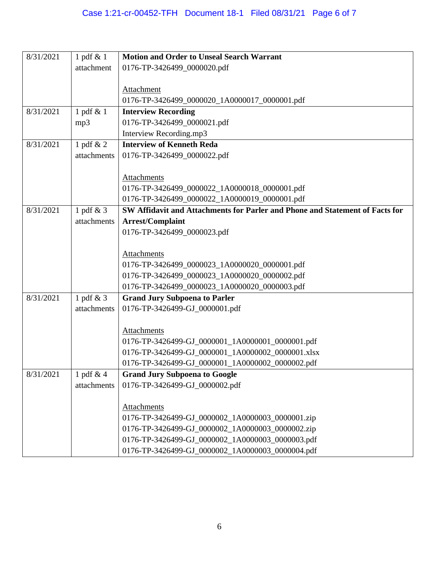| 8/31/2021 | 1 pdf $\&$ 1 | <b>Motion and Order to Unseal Search Warrant</b>                             |
|-----------|--------------|------------------------------------------------------------------------------|
|           | attachment   | 0176-TP-3426499_0000020.pdf                                                  |
|           |              |                                                                              |
|           |              | Attachment                                                                   |
|           |              | 0176-TP-3426499_0000020_1A0000017_0000001.pdf                                |
| 8/31/2021 | 1 pdf & 1    | <b>Interview Recording</b>                                                   |
|           | mp3          | 0176-TP-3426499_0000021.pdf                                                  |
|           |              | Interview Recording.mp3                                                      |
| 8/31/2021 | 1 pdf & 2    | <b>Interview of Kenneth Reda</b>                                             |
|           | attachments  | 0176-TP-3426499_0000022.pdf                                                  |
|           |              |                                                                              |
|           |              | <b>Attachments</b>                                                           |
|           |              | 0176-TP-3426499_0000022_1A0000018_0000001.pdf                                |
|           |              | 0176-TP-3426499_0000022_1A0000019_0000001.pdf                                |
| 8/31/2021 | 1 pdf & 3    | SW Affidavit and Attachments for Parler and Phone and Statement of Facts for |
|           | attachments  | Arrest/Complaint                                                             |
|           |              | 0176-TP-3426499_0000023.pdf                                                  |
|           |              |                                                                              |
|           |              | Attachments                                                                  |
|           |              | 0176-TP-3426499_0000023_1A0000020_0000001.pdf                                |
|           |              | 0176-TP-3426499_0000023_1A0000020_0000002.pdf                                |
|           |              | 0176-TP-3426499_0000023_1A0000020_0000003.pdf                                |
| 8/31/2021 | 1 pdf & 3    | <b>Grand Jury Subpoena to Parler</b>                                         |
|           | attachments  | 0176-TP-3426499-GJ_0000001.pdf                                               |
|           |              |                                                                              |
|           |              | Attachments                                                                  |
|           |              | 0176-TP-3426499-GJ_0000001_1A0000001_0000001.pdf                             |
|           |              | 0176-TP-3426499-GJ_0000001_1A0000002_0000001.xlsx                            |
|           |              | 0176-TP-3426499-GJ_0000001_1A0000002_0000002.pdf                             |
| 8/31/2021 | 1 pdf $& 4$  | <b>Grand Jury Subpoena to Google</b>                                         |
|           | attachments  | 0176-TP-3426499-GJ_0000002.pdf                                               |
|           |              |                                                                              |
|           |              | Attachments                                                                  |
|           |              | 0176-TP-3426499-GJ_0000002_1A0000003_0000001.zip                             |
|           |              | 0176-TP-3426499-GJ_0000002_1A0000003_0000002.zip                             |
|           |              | 0176-TP-3426499-GJ_0000002_1A0000003_0000003.pdf                             |
|           |              | 0176-TP-3426499-GJ_0000002_1A0000003_0000004.pdf                             |